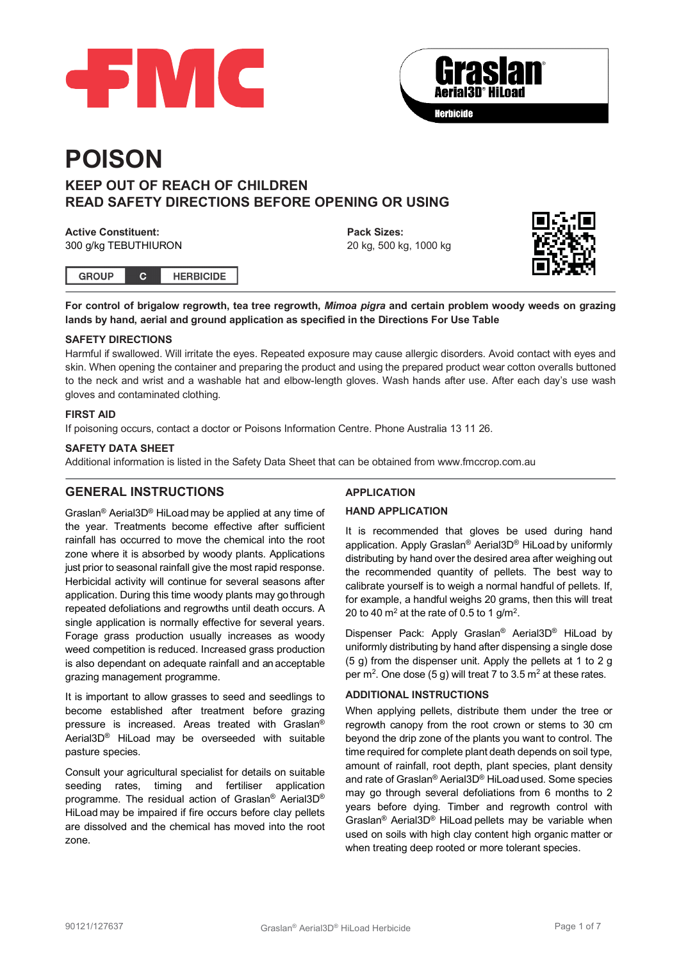



# **POISON**

# **KEEP OUT OF REACH OF CHILDREN READ SAFETY DIRECTIONS BEFORE OPENING OR USING**

#### **Active Constituent:** 300 g/kg TEBUTHIURON

**Pack Sizes:** 20 kg, 500 kg, 1000 kg



**GROUP HERBICIDE**  $\mathbf{C}$ 

**For control of brigalow regrowth, tea tree regrowth,** *Mimoa pigra* **and certain problem woody weeds on grazing lands by hand, aerial and ground application as specified in the Directions For Use Table**

## **SAFETY DIRECTIONS**

Harmful if swallowed. Will irritate the eyes. Repeated exposure may cause allergic disorders. Avoid contact with eyes and skin. When opening the container and preparing the product and using the prepared product wear cotton overalls buttoned to the neck and wrist and a washable hat and elbow-length gloves. Wash hands after use. After each day's use wash gloves and contaminated clothing.

## **FIRST AID**

If poisoning occurs, contact a doctor or Poisons Information Centre. Phone Australia 13 11 26.

## **SAFETY DATA SHEET**

Additional information is listed in the Safety Data Sheet that can be obtained from www.fmccrop.com.au

## **GENERAL INSTRUCTIONS**

Graslan® Aerial3D® HiLoad may be applied at any time of the year. Treatments become effective after sufficient rainfall has occurred to move the chemical into the root zone where it is absorbed by woody plants. Applications just prior to seasonal rainfall give the most rapid response. Herbicidal activity will continue for several seasons after application. During this time woody plants may gothrough repeated defoliations and regrowths until death occurs. A single application is normally effective for several years. Forage grass production usually increases as woody weed competition is reduced. Increased grass production is also dependant on adequate rainfall and an acceptable grazing management programme.

It is important to allow grasses to seed and seedlings to become established after treatment before grazing pressure is increased. Areas treated with Graslan® Aerial3D® HiLoad may be overseeded with suitable pasture species.

Consult your agricultural specialist for details on suitable seeding rates, timing and fertiliser application programme. The residual action of Graslan® Aerial3D® HiLoad may be impaired if fire occurs before clay pellets are dissolved and the chemical has moved into the root zone.

## **APPLICATION**

## **HAND APPLICATION**

It is recommended that gloves be used during hand application. Apply Graslan® Aerial3D® HiLoad by uniformly distributing by hand over the desired area after weighing out the recommended quantity of pellets. The best way to calibrate yourself is to weigh a normal handful of pellets. If, for example, a handful weighs 20 grams, then this will treat 20 to 40  $\text{m}^2$  at the rate of 0.5 to 1 g/m<sup>2</sup>.

Dispenser Pack: Apply Graslan® Aerial3D® HiLoad by uniformly distributing by hand after dispensing a single dose (5 g) from the dispenser unit. Apply the pellets at 1 to 2 g per m<sup>2</sup>. One dose (5 g) will treat 7 to 3.5 m<sup>2</sup> at these rates.

## **ADDITIONAL INSTRUCTIONS**

When applying pellets, distribute them under the tree or regrowth canopy from the root crown or stems to 30 cm beyond the drip zone of the plants you want to control. The time required for complete plant death depends on soil type, amount of rainfall, root depth, plant species, plant density and rate of Graslan® Aerial3D® HiLoadused. Some species may go through several defoliations from 6 months to 2 years before dying. Timber and regrowth control with Graslan® Aerial3D® HiLoad pellets may be variable when used on soils with high clay content high organic matter or when treating deep rooted or more tolerant species.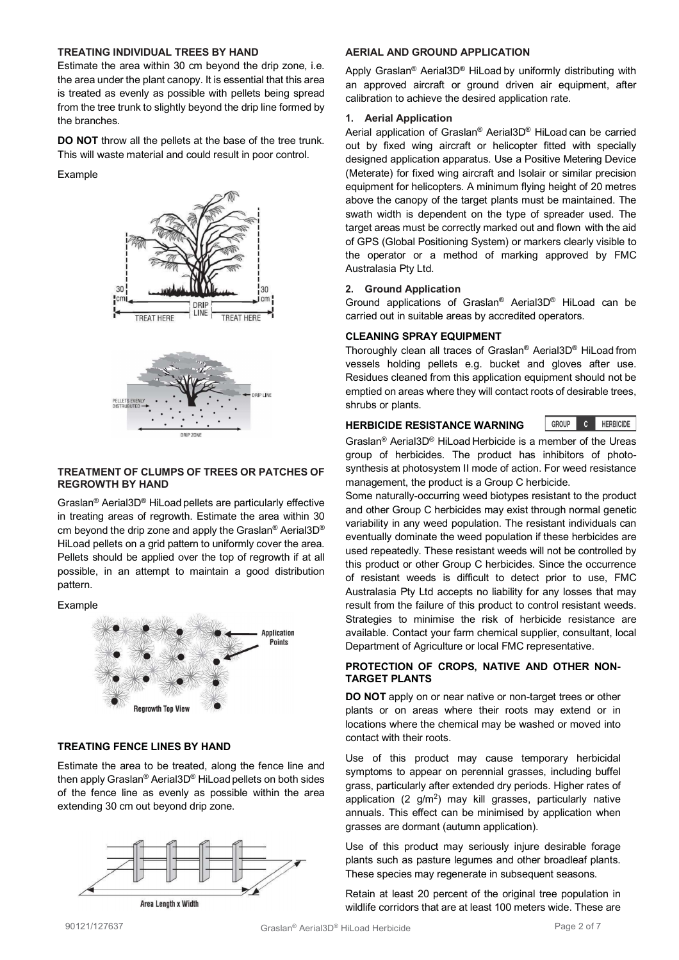## **TREATING INDIVIDUAL TREES BY HAND**

Estimate the area within 30 cm beyond the drip zone, i.e. the area under the plant canopy. It is essential that this area is treated as evenly as possible with pellets being spread from the tree trunk to slightly beyond the drip line formed by the branches.

**DO NOT** throw all the pellets at the base of the tree trunk. This will waste material and could result in poor control.

#### Example



## **TREATMENT OF CLUMPS OF TREES OR PATCHES OF REGROWTH BY HAND**

Graslan® Aerial3D® HiLoad pellets are particularly effective in treating areas of regrowth. Estimate the area within 30 cm beyond the drip zone and apply the Graslan® Aerial3D® HiLoad pellets on a grid pattern to uniformly cover the area. Pellets should be applied over the top of regrowth if at all possible, in an attempt to maintain a good distribution pattern.

#### Example



#### **TREATING FENCE LINES BY HAND**

Estimate the area to be treated, along the fence line and then apply Graslan® Aerial3D® HiLoad pellets on both sides of the fence line as evenly as possible within the area extending 30 cm out beyond drip zone.



**AERIAL AND GROUND APPLICATION**

Apply Graslan® Aerial3D® HiLoad by uniformly distributing with an approved aircraft or ground driven air equipment, after calibration to achieve the desired application rate.

#### **1. Aerial Application**

Aerial application of Graslan® Aerial3D® HiLoad can be carried out by fixed wing aircraft or helicopter fitted with specially designed application apparatus. Use a Positive Metering Device (Meterate) for fixed wing aircraft and Isolair or similar precision equipment for helicopters. A minimum flying height of 20 metres above the canopy of the target plants must be maintained. The swath width is dependent on the type of spreader used. The target areas must be correctly marked out and flown with the aid of GPS (Global Positioning System) or markers clearly visible to the operator or a method of marking approved by FMC Australasia Pty Ltd.

#### **2. Ground Application**

Ground applications of Graslan® Aerial3D® HiLoad can be carried out in suitable areas by accredited operators.

#### **CLEANING SPRAY EQUIPMENT**

Thoroughly clean all traces of Graslan® Aerial3D® HiLoad from vessels holding pellets e.g. bucket and gloves after use. Residues cleaned from this application equipment should not be emptied on areas where they will contact roots of desirable trees, shrubs or plants.

#### **HERBICIDE RESISTANCE WARNING**

GROUP<sub>1</sub> **C** HERBICIDE

Graslan® Aerial3D® HiLoad Herbicide is a member of the Ureas group of herbicides. The product has inhibitors of photosynthesis at photosystem II mode of action. For weed resistance management, the product is a Group C herbicide.

Some naturally-occurring weed biotypes resistant to the product and other Group C herbicides may exist through normal genetic variability in any weed population. The resistant individuals can eventually dominate the weed population if these herbicides are used repeatedly. These resistant weeds will not be controlled by this product or other Group C herbicides. Since the occurrence of resistant weeds is difficult to detect prior to use, FMC Australasia Pty Ltd accepts no liability for any losses that may result from the failure of this product to control resistant weeds. Strategies to minimise the risk of herbicide resistance are available. Contact your farm chemical supplier, consultant, local Department of Agriculture or local FMC representative.

## **PROTECTION OF CROPS, NATIVE AND OTHER NON-TARGET PLANTS**

**DO NOT** apply on or near native or non-target trees or other plants or on areas where their roots may extend or in locations where the chemical may be washed or moved into contact with their roots.

Use of this product may cause temporary herbicidal symptoms to appear on perennial grasses, including buffel grass, particularly after extended dry periods. Higher rates of application  $(2 \text{ g/m}^2)$  may kill grasses, particularly native annuals. This effect can be minimised by application when grasses are dormant (autumn application).

Use of this product may seriously injure desirable forage plants such as pasture legumes and other broadleaf plants. These species may regenerate in subsequent seasons.

Retain at least 20 percent of the original tree population in wildlife corridors that are at least 100 meters wide. These are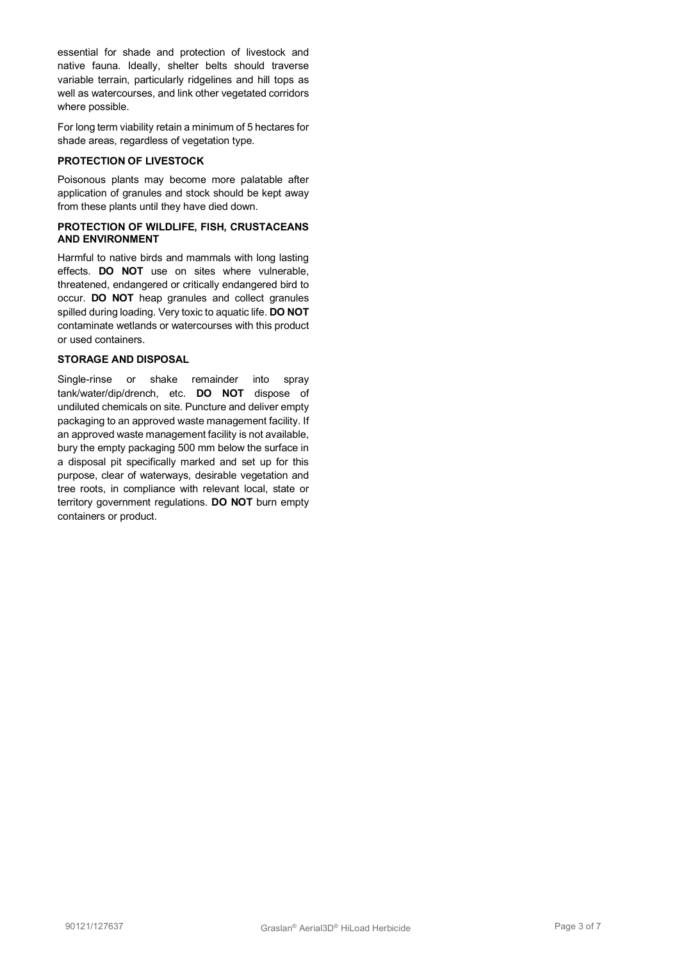essential for shade and protection of livestock and native fauna. Ideally, shelter belts should traverse variable terrain, particularly ridgelines and hill tops as well as watercourses, and link other vegetated corridors where possible.

For long term viability retain a minimum of 5 hectares for shade areas, regardless of vegetation type.

## **PROTECTION OF LIVESTOCK**

Poisonous plants may become more palatable after application of granules and stock should be kept away from these plants until they have died down.

#### **PROTECTION OF WILDLIFE, FISH, CRUSTACEANS AND ENVIRONMENT**

Harmful to native birds and mammals with long lasting effects. **DO NOT** use on sites where vulnerable, threatened, endangered or critically endangered bird to occur. **DO NOT** heap granules and collect granules spilled during loading. Very toxic to aquatic life. **DO NOT**  contaminate wetlands or watercourses with this product or used containers.

### **STORAGE AND DISPOSAL**

Single-rinse or shake remainder into spray tank/water/dip/drench, etc. **DO NOT** dispose of undiluted chemicals on site. Puncture and deliver empty packaging to an approved waste management facility. If an approved waste management facility is not available, bury the empty packaging 500 mm below the surface in a disposal pit specifically marked and set up for this purpose, clear of waterways, desirable vegetation and tree roots, in compliance with relevant local, state or territory government regulations. **DO NOT** burn empty containers or product.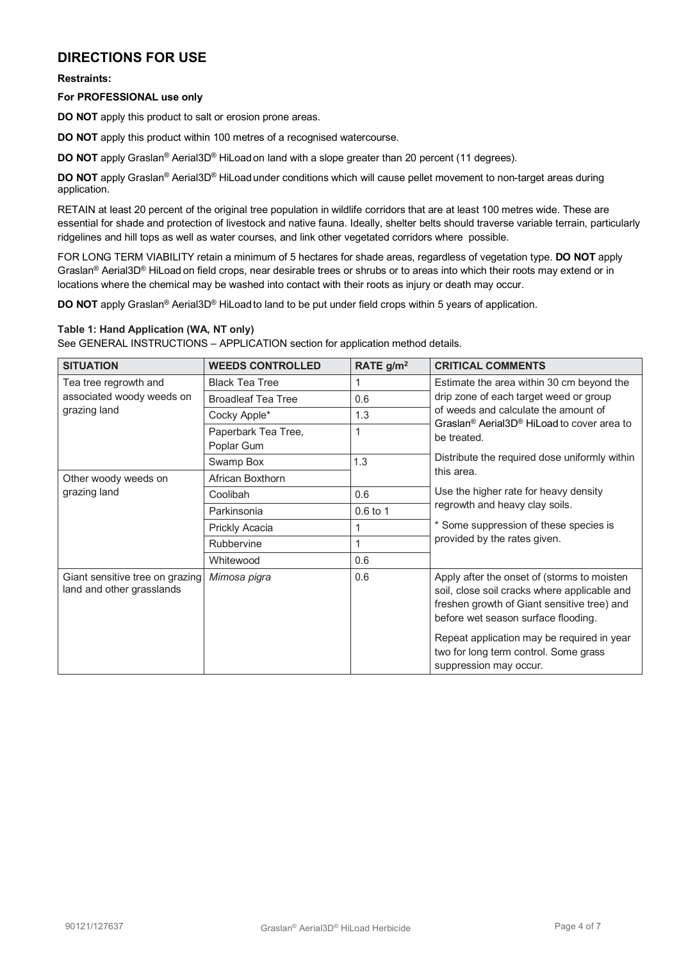# **DIRECTIONS FOR USE**

**Restraints:**

#### **For PROFESSIONAL use only**

**DO NOT** apply this product to salt or erosion prone areas.

**DO NOT** apply this product within 100 metres of a recognised watercourse.

**DO NOT** apply Graslan® Aerial3D® HiLoadon land with a slope greater than 20 percent (11 degrees).

**DO NOT** apply Graslan® Aerial3D® HiLoadunder conditions which will cause pellet movement to non-target areas during application.

RETAIN at least 20 percent of the original tree population in wildlife corridors that are at least 100 metres wide. These are essential for shade and protection of livestock and native fauna. Ideally, shelter belts should traverse variable terrain, particularly ridgelines and hill tops as well as water courses, and link other vegetated corridors where possible.

FOR LONG TERM VIABILITY retain a minimum of 5 hectares for shade areas, regardless of vegetation type. **DO NOT** apply Graslan® Aerial3D® HiLoad on field crops, near desirable trees or shrubs or to areas into which their roots may extend or in locations where the chemical may be washed into contact with their roots as injury or death may occur.

**DO NOT** apply Graslan® Aerial3D® HiLoadto land to be put under field crops within 5 years of application.

## **Table 1: Hand Application (WA, NT only)**

See GENERAL INSTRUCTIONS – APPLICATION section for application method details.

| <b>SITUATION</b>                                                   | <b>WEEDS CONTROLLED</b>           | RATE g/m <sup>2</sup> | <b>CRITICAL COMMENTS</b>                                                                                                                                                                                                                                                                           |  |
|--------------------------------------------------------------------|-----------------------------------|-----------------------|----------------------------------------------------------------------------------------------------------------------------------------------------------------------------------------------------------------------------------------------------------------------------------------------------|--|
| Tea tree regrowth and<br>associated woody weeds on<br>grazing land | <b>Black Tea Tree</b>             |                       | Estimate the area within 30 cm beyond the<br>drip zone of each target weed or group<br>of weeds and calculate the amount of<br>Graslan <sup>®</sup> Aerial3D <sup>®</sup> HiLoad to cover area to<br>be treated.                                                                                   |  |
|                                                                    | <b>Broadleaf Tea Tree</b>         | 0.6                   |                                                                                                                                                                                                                                                                                                    |  |
|                                                                    | Cocky Apple*                      | 1.3                   |                                                                                                                                                                                                                                                                                                    |  |
|                                                                    | Paperbark Tea Tree,<br>Poplar Gum | 1                     |                                                                                                                                                                                                                                                                                                    |  |
|                                                                    | Swamp Box                         | 1.3                   | Distribute the required dose uniformly within                                                                                                                                                                                                                                                      |  |
| Other woody weeds on<br>grazing land                               | African Boxthorn                  |                       | this area.<br>Use the higher rate for heavy density<br>regrowth and heavy clay soils.<br>* Some suppression of these species is                                                                                                                                                                    |  |
|                                                                    | Coolibah                          | 0.6                   |                                                                                                                                                                                                                                                                                                    |  |
|                                                                    | Parkinsonia                       | 0.6 to 1              |                                                                                                                                                                                                                                                                                                    |  |
|                                                                    | Prickly Acacia                    | 1                     |                                                                                                                                                                                                                                                                                                    |  |
|                                                                    | Rubbervine                        | 1                     | provided by the rates given.                                                                                                                                                                                                                                                                       |  |
|                                                                    | Whitewood                         | 0.6                   |                                                                                                                                                                                                                                                                                                    |  |
| Giant sensitive tree on grazing<br>land and other grasslands       | Mimosa pigra                      | 0.6                   | Apply after the onset of (storms to moisten<br>soil, close soil cracks where applicable and<br>freshen growth of Giant sensitive tree) and<br>before wet season surface flooding.<br>Repeat application may be required in year<br>two for long term control. Some grass<br>suppression may occur. |  |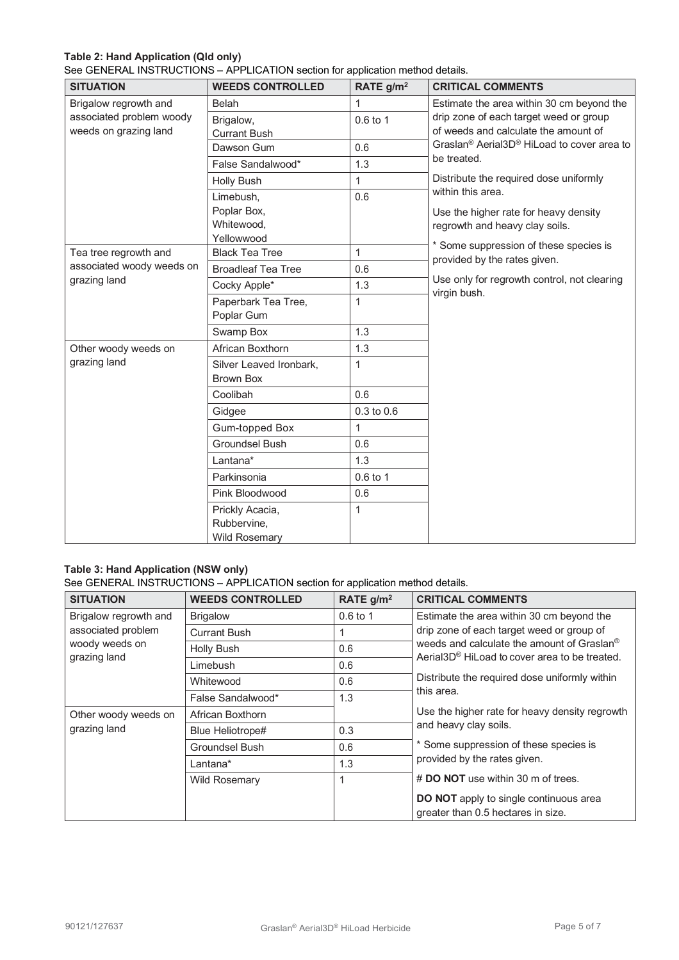## **Table 2: Hand Application (Qld only)**

See GENERAL INSTRUCTIONS – APPLICATION section for application method details.

| <b>SITUATION</b>          | <b>WEEDS CONTROLLED</b>   | RATE g/m <sup>2</sup> | <b>CRITICAL COMMENTS</b>                                                                                                    |  |
|---------------------------|---------------------------|-----------------------|-----------------------------------------------------------------------------------------------------------------------------|--|
| Brigalow regrowth and     | Belah                     | 1                     | Estimate the area within 30 cm beyond the<br>drip zone of each target weed or group                                         |  |
| associated problem woody  | Brigalow,                 | $0.6$ to 1            |                                                                                                                             |  |
| weeds on grazing land     | <b>Currant Bush</b>       |                       | of weeds and calculate the amount of                                                                                        |  |
|                           | Dawson Gum                | 0.6                   | Graslan <sup>®</sup> Aerial3D <sup>®</sup> HiLoad to cover area to<br>be treated.<br>Distribute the required dose uniformly |  |
|                           | False Sandalwood*         | 1.3                   |                                                                                                                             |  |
|                           | <b>Holly Bush</b>         | 1                     |                                                                                                                             |  |
|                           | Limebush,                 | 0.6                   | within this area.                                                                                                           |  |
|                           | Poplar Box,               |                       | Use the higher rate for heavy density                                                                                       |  |
|                           | Whitewood,                |                       | regrowth and heavy clay soils.                                                                                              |  |
|                           | Yellowwood                |                       | * Some suppression of these species is                                                                                      |  |
| Tea tree regrowth and     | <b>Black Tea Tree</b>     | 1                     | provided by the rates given.                                                                                                |  |
| associated woody weeds on | <b>Broadleaf Tea Tree</b> | 0.6                   |                                                                                                                             |  |
| grazing land              | Cocky Apple*              | 1.3                   | Use only for regrowth control, not clearing<br>virgin bush.                                                                 |  |
|                           | Paperbark Tea Tree,       | 1                     |                                                                                                                             |  |
|                           | Poplar Gum                |                       |                                                                                                                             |  |
|                           | Swamp Box                 | 1.3                   |                                                                                                                             |  |
| Other woody weeds on      | African Boxthorn          | 1.3                   |                                                                                                                             |  |
| grazing land              | Silver Leaved Ironbark,   | 1                     |                                                                                                                             |  |
|                           | <b>Brown Box</b>          |                       |                                                                                                                             |  |
|                           | Coolibah                  | 0.6                   |                                                                                                                             |  |
|                           | Gidgee                    | $0.3$ to $0.6$        |                                                                                                                             |  |
|                           | Gum-topped Box            | 1                     |                                                                                                                             |  |
|                           | <b>Groundsel Bush</b>     | 0.6                   |                                                                                                                             |  |
|                           | Lantana*                  | 1.3                   |                                                                                                                             |  |
|                           | Parkinsonia               | 0.6 to 1              |                                                                                                                             |  |
|                           | Pink Bloodwood            | 0.6                   |                                                                                                                             |  |
|                           | Prickly Acacia,           | 1                     |                                                                                                                             |  |
|                           | Rubbervine,               |                       |                                                                                                                             |  |
|                           | Wild Rosemary             |                       |                                                                                                                             |  |

## **Table 3: Hand Application (NSW only)**

See GENERAL INSTRUCTIONS – APPLICATION section for application method details.

| <b>SITUATION</b>                                                              | <b>WEEDS CONTROLLED</b> | RATE $g/m2$ | <b>CRITICAL COMMENTS</b>                                                                                                                                                                                                                                                                                                                                                                                                                                                |
|-------------------------------------------------------------------------------|-------------------------|-------------|-------------------------------------------------------------------------------------------------------------------------------------------------------------------------------------------------------------------------------------------------------------------------------------------------------------------------------------------------------------------------------------------------------------------------------------------------------------------------|
| Brigalow regrowth and<br>associated problem<br>woody weeds on<br>grazing land | <b>Brigalow</b>         | $0.6$ to 1  | Estimate the area within 30 cm beyond the<br>drip zone of each target weed or group of<br>weeds and calculate the amount of Graslan <sup>®</sup><br>Aerial3D <sup>®</sup> HiLoad to cover area to be treated.<br>Distribute the required dose uniformly within<br>this area.<br>Use the higher rate for heavy density regrowth<br>and heavy clay soils.<br>* Some suppression of these species is<br>provided by the rates given.<br># DO NOT use within 30 m of trees. |
|                                                                               | <b>Currant Bush</b>     |             |                                                                                                                                                                                                                                                                                                                                                                                                                                                                         |
|                                                                               | Holly Bush              | 0.6         |                                                                                                                                                                                                                                                                                                                                                                                                                                                                         |
|                                                                               | Limebush                | 0.6         |                                                                                                                                                                                                                                                                                                                                                                                                                                                                         |
|                                                                               | Whitewood               | 0.6         |                                                                                                                                                                                                                                                                                                                                                                                                                                                                         |
|                                                                               | False Sandalwood*       | 1.3         |                                                                                                                                                                                                                                                                                                                                                                                                                                                                         |
| Other woody weeds on<br>grazing land                                          | African Boxthorn        |             |                                                                                                                                                                                                                                                                                                                                                                                                                                                                         |
|                                                                               | Blue Heliotrope#        | 0.3         |                                                                                                                                                                                                                                                                                                                                                                                                                                                                         |
|                                                                               | Groundsel Bush          | 0.6         |                                                                                                                                                                                                                                                                                                                                                                                                                                                                         |
|                                                                               | Lantana*                | 1.3         |                                                                                                                                                                                                                                                                                                                                                                                                                                                                         |
|                                                                               | <b>Wild Rosemary</b>    | 1           |                                                                                                                                                                                                                                                                                                                                                                                                                                                                         |
|                                                                               |                         |             | <b>DO NOT</b> apply to single continuous area<br>greater than 0.5 hectares in size.                                                                                                                                                                                                                                                                                                                                                                                     |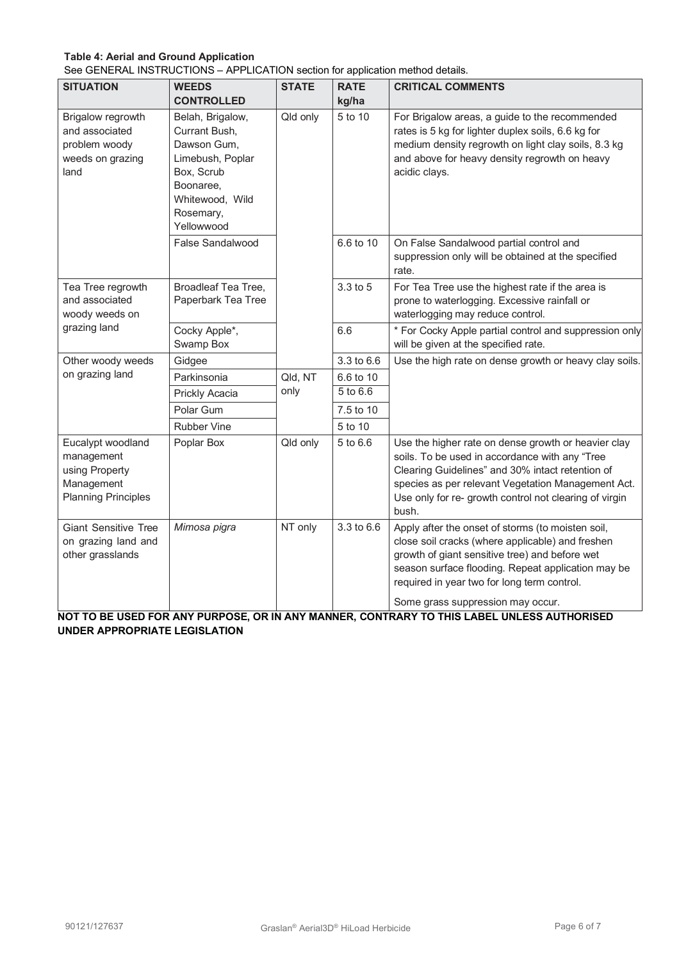## **Table 4: Aerial and Ground Application**

See GENERAL INSTRUCTIONS – APPLICATION section for application method details.

| <b>SITUATION</b>                                                                              | <b>WEEDS</b><br><b>CONTROLLED</b>                                                                                                             | <b>STATE</b> | <b>RATE</b><br>kg/ha | <b>CRITICAL COMMENTS</b>                                                                                                                                                                                                                                                                               |
|-----------------------------------------------------------------------------------------------|-----------------------------------------------------------------------------------------------------------------------------------------------|--------------|----------------------|--------------------------------------------------------------------------------------------------------------------------------------------------------------------------------------------------------------------------------------------------------------------------------------------------------|
| Brigalow regrowth<br>and associated<br>problem woody<br>weeds on grazing<br>land              | Belah, Brigalow,<br>Currant Bush,<br>Dawson Gum,<br>Limebush, Poplar<br>Box, Scrub<br>Boonaree,<br>Whitewood, Wild<br>Rosemary,<br>Yellowwood | Qld only     | 5 to 10              | For Brigalow areas, a guide to the recommended<br>rates is 5 kg for lighter duplex soils, 6.6 kg for<br>medium density regrowth on light clay soils, 8.3 kg<br>and above for heavy density regrowth on heavy<br>acidic clays.                                                                          |
|                                                                                               | False Sandalwood                                                                                                                              |              | 6.6 to 10            | On False Sandalwood partial control and<br>suppression only will be obtained at the specified<br>rate.                                                                                                                                                                                                 |
| Tea Tree regrowth<br>and associated<br>woody weeds on                                         | Broadleaf Tea Tree,<br>Paperbark Tea Tree                                                                                                     |              | 3.3 to 5             | For Tea Tree use the highest rate if the area is<br>prone to waterlogging. Excessive rainfall or<br>waterlogging may reduce control.                                                                                                                                                                   |
| grazing land                                                                                  | Cocky Apple*,<br>Swamp Box                                                                                                                    |              | 6.6                  | * For Cocky Apple partial control and suppression only<br>will be given at the specified rate.                                                                                                                                                                                                         |
| Other woody weeds                                                                             | Gidgee                                                                                                                                        |              | 3.3 to 6.6           | Use the high rate on dense growth or heavy clay soils.                                                                                                                                                                                                                                                 |
| on grazing land                                                                               | Parkinsonia                                                                                                                                   | Qld, NT      | 6.6 to 10            |                                                                                                                                                                                                                                                                                                        |
|                                                                                               | Prickly Acacia                                                                                                                                | only         | 5 to 6.6             |                                                                                                                                                                                                                                                                                                        |
|                                                                                               | Polar Gum                                                                                                                                     |              | 7.5 to 10            |                                                                                                                                                                                                                                                                                                        |
|                                                                                               | <b>Rubber Vine</b>                                                                                                                            |              | 5 to 10              |                                                                                                                                                                                                                                                                                                        |
| Eucalypt woodland<br>management<br>using Property<br>Management<br><b>Planning Principles</b> | Poplar Box                                                                                                                                    | Qld only     | 5 to 6.6             | Use the higher rate on dense growth or heavier clay<br>soils. To be used in accordance with any "Tree<br>Clearing Guidelines" and 30% intact retention of<br>species as per relevant Vegetation Management Act.<br>Use only for re- growth control not clearing of virgin<br>bush.                     |
| <b>Giant Sensitive Tree</b><br>on grazing land and<br>other grasslands                        | Mimosa pigra                                                                                                                                  | NT only      | 3.3 to 6.6           | Apply after the onset of storms (to moisten soil,<br>close soil cracks (where applicable) and freshen<br>growth of giant sensitive tree) and before wet<br>season surface flooding. Repeat application may be<br>required in year two for long term control.<br>Some grass suppression may occur.<br>. |

**NOT TO BE USED FOR ANY PURPOSE, OR IN ANY MANNER, CONTRARY TO THIS LABEL UNLESS AUTHORISED UNDER APPROPRIATE LEGISLATION**